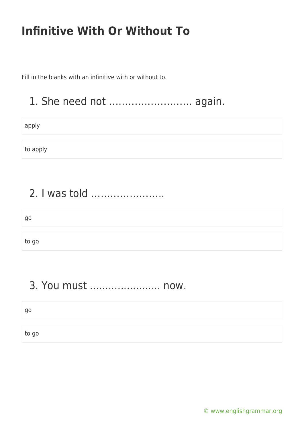Fill in the blanks with an infinitive with or without to.

#### 1. She need not …………………….. again.

apply

to apply

### 2. I was told …………………..

| go    |  |  |
|-------|--|--|
|       |  |  |
| to go |  |  |

### 3. You must ....................... now.

go

to go

[© www.englishgrammar.org](https://www.englishgrammar.org/)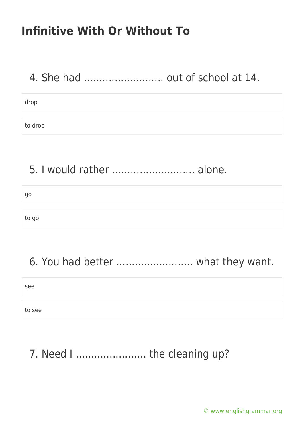## 4. She had .......................... out of school at 14.

drop

to drop

#### 5. I would rather ........................... alone.

go

to go

# 6. You had better ......................... what they want.

see to see

## 7. Need I .......................... the cleaning up?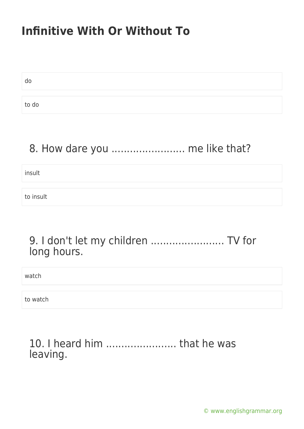do to do

#### 8. How dare you ........................ me like that?

insult

to insult

#### 9. I don't let my children ........................ TV for long hours.

watch

to watch

#### 10. I heard him ....................... that he was leaving.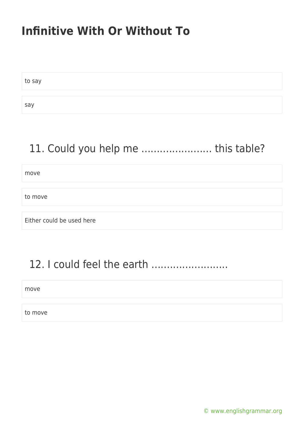to say say

# 11. Could you help me ....................... this table?

move

to move

Either could be used here

#### 12. I could feel the earth .........................

move

to move

[© www.englishgrammar.org](https://www.englishgrammar.org/)